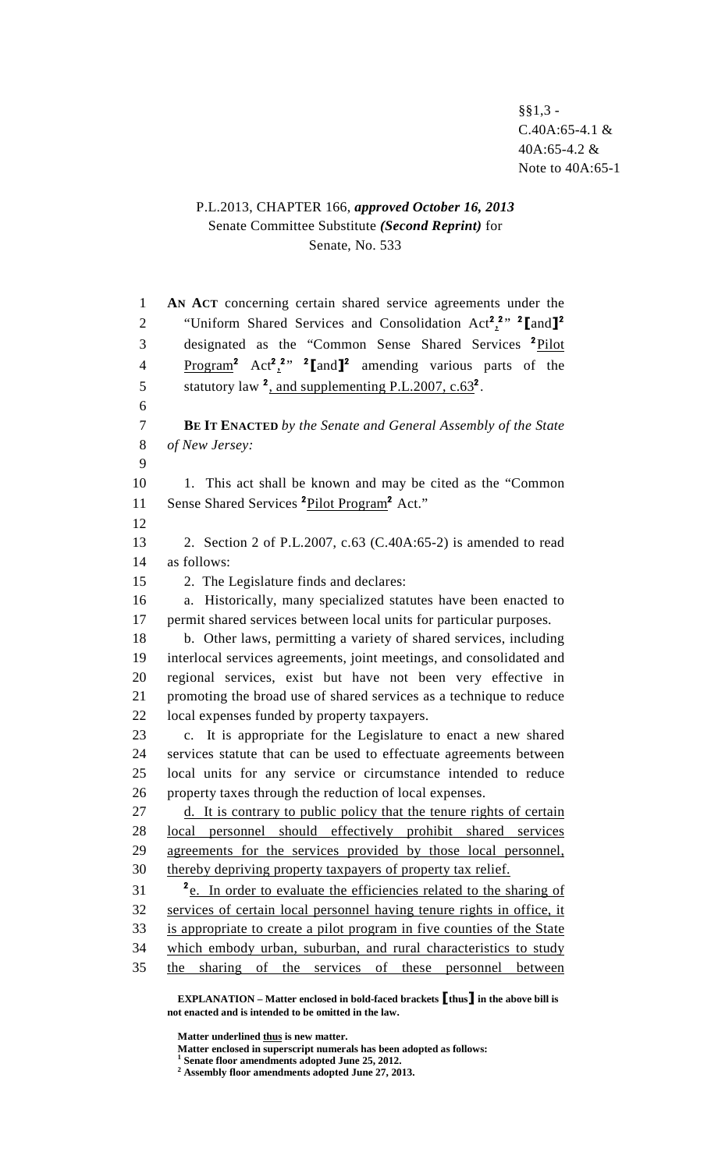## P.L.2013, CHAPTER 166, *approved October 16, 2013* Senate Committee Substitute *(Second Reprint)* for Senate, No. 533

| $\mathbf{1}$   | AN ACT concerning certain shared service agreements under the                                               |
|----------------|-------------------------------------------------------------------------------------------------------------|
| $\overline{2}$ | "Uniform Shared Services and Consolidation Act <sup>2</sup> <sub>2</sub> 2, <sup>2</sup> [and] <sup>2</sup> |
|                |                                                                                                             |
| 3              | designated as the "Common Sense Shared Services <sup>2</sup> Pilot                                          |
| $\overline{4}$ | $Program2 Act22 2$ , $2[and]2$ amending various parts of the                                                |
| 5              | statutory law $^2$ , and supplementing P.L.2007, c.63 <sup>2</sup> .                                        |
| 6              |                                                                                                             |
| $\tau$         | <b>BE IT ENACTED</b> by the Senate and General Assembly of the State                                        |
| 8<br>9         | of New Jersey:                                                                                              |
| 10             |                                                                                                             |
| 11             | 1. This act shall be known and may be cited as the "Common"                                                 |
| 12             | Sense Shared Services <sup>2</sup> Pilot Program <sup>2</sup> Act."                                         |
| 13             | 2. Section 2 of P.L.2007, c.63 (C.40A:65-2) is amended to read                                              |
| 14             | as follows:                                                                                                 |
| 15             | 2. The Legislature finds and declares:                                                                      |
| 16             | a. Historically, many specialized statutes have been enacted to                                             |
| 17             | permit shared services between local units for particular purposes.                                         |
| 18             | b. Other laws, permitting a variety of shared services, including                                           |
| 19             | interlocal services agreements, joint meetings, and consolidated and                                        |
| 20             | regional services, exist but have not been very effective in                                                |
| 21             | promoting the broad use of shared services as a technique to reduce                                         |
| 22             | local expenses funded by property taxpayers.                                                                |
| 23             | c. It is appropriate for the Legislature to enact a new shared                                              |
| 24             | services statute that can be used to effectuate agreements between                                          |
| 25             | local units for any service or circumstance intended to reduce                                              |
| 26             | property taxes through the reduction of local expenses.                                                     |
| 27             | d. It is contrary to public policy that the tenure rights of certain                                        |
| 28             | local personnel should effectively prohibit shared services                                                 |
| 29             | agreements for the services provided by those local personnel,                                              |
| 30             | thereby depriving property taxpayers of property tax relief.                                                |
| 31             | <sup>2</sup> e. In order to evaluate the efficiencies related to the sharing of                             |
| 32             | services of certain local personnel having tenure rights in office, it                                      |
| 33             | is appropriate to create a pilot program in five counties of the State                                      |
| 34             | which embody urban, suburban, and rural characteristics to study                                            |
| 35             | sharing of the services of these personnel between<br>the                                                   |
|                | $\mathbb{R}^{n}$                                                                                            |

**EXPLANATION – Matter enclosed in bold-faced brackets** [**thus**] **in the above bill is not enacted and is intended to be omitted in the law.** 

**Matter underlined thus is new matter.** 

Matter enclosed in superscript numerals has been adopted as follows:<br><sup>1</sup> Senate floor amendments adopted June 25, 2012.<br><sup>2</sup> Assembly floor amendments adopted June 27, 2013.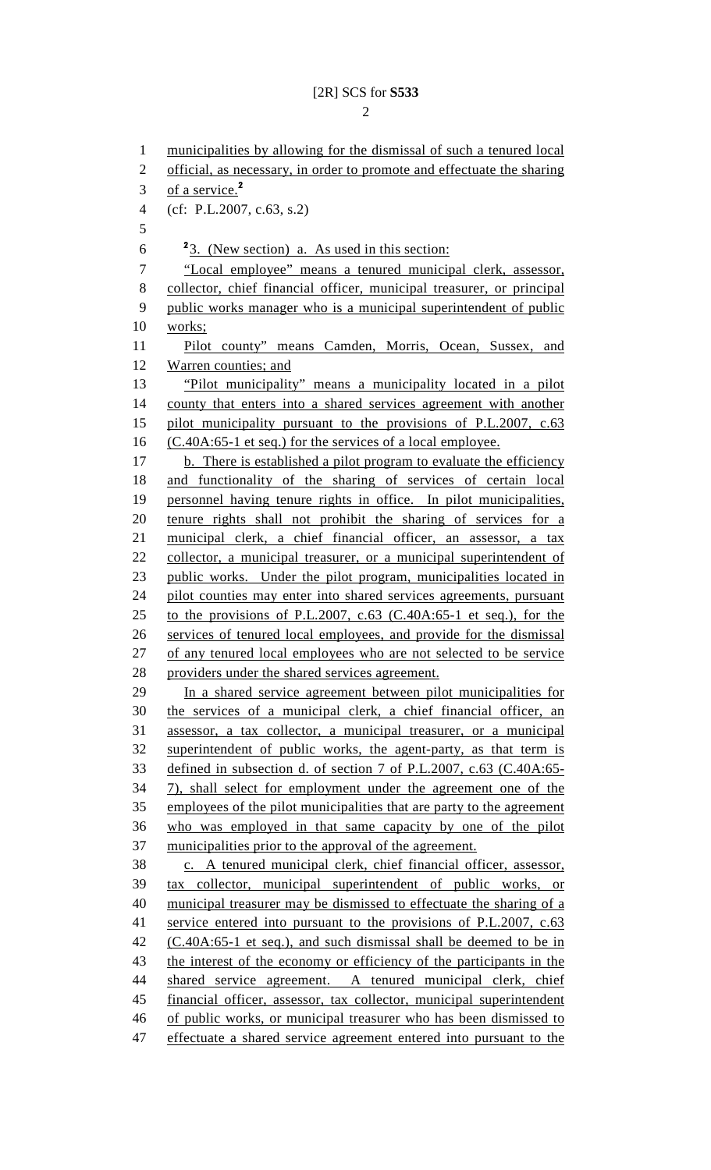1 municipalities by allowing for the dismissal of such a tenured local 2 official, as necessary, in order to promote and effectuate the sharing 3 of a service. $<sup>2</sup>$ </sup> 4 (cf: P.L.2007, c.63, s.2) 5  $\frac{2}{3}$ . (New section) a. As used in this section: 7 "Local employee" means a tenured municipal clerk, assessor, 8 collector, chief financial officer, municipal treasurer, or principal 9 public works manager who is a municipal superintendent of public 10 works; 11 Pilot county" means Camden, Morris, Ocean, Sussex, and 12 Warren counties; and 13 "Pilot municipality" means a municipality located in a pilot 14 county that enters into a shared services agreement with another 15 pilot municipality pursuant to the provisions of P.L.2007, c.63 16 (C.40A:65-1 et seq.) for the services of a local employee. 17 b. There is established a pilot program to evaluate the efficiency 18 and functionality of the sharing of services of certain local 19 personnel having tenure rights in office. In pilot municipalities, 20 tenure rights shall not prohibit the sharing of services for a 21 municipal clerk, a chief financial officer, an assessor, a tax 22 collector, a municipal treasurer, or a municipal superintendent of 23 public works. Under the pilot program, municipalities located in 24 pilot counties may enter into shared services agreements, pursuant 25 to the provisions of P.L.2007, c.63 (C.40A:65-1 et seq.), for the 26 services of tenured local employees, and provide for the dismissal 27 of any tenured local employees who are not selected to be service 28 providers under the shared services agreement. 29 In a shared service agreement between pilot municipalities for 30 the services of a municipal clerk, a chief financial officer, an 31 assessor, a tax collector, a municipal treasurer, or a municipal 32 superintendent of public works, the agent-party, as that term is 33 defined in subsection d. of section 7 of P.L.2007, c.63 (C.40A:65- 34 7), shall select for employment under the agreement one of the 35 employees of the pilot municipalities that are party to the agreement 36 who was employed in that same capacity by one of the pilot 37 municipalities prior to the approval of the agreement. 38 c. A tenured municipal clerk, chief financial officer, assessor, 39 tax collector, municipal superintendent of public works, or 40 municipal treasurer may be dismissed to effectuate the sharing of a 41 service entered into pursuant to the provisions of P.L.2007, c.63 42 (C.40A:65-1 et seq.), and such dismissal shall be deemed to be in 43 the interest of the economy or efficiency of the participants in the 44 shared service agreement. A tenured municipal clerk, chief 45 financial officer, assessor, tax collector, municipal superintendent 46 of public works, or municipal treasurer who has been dismissed to 47 effectuate a shared service agreement entered into pursuant to the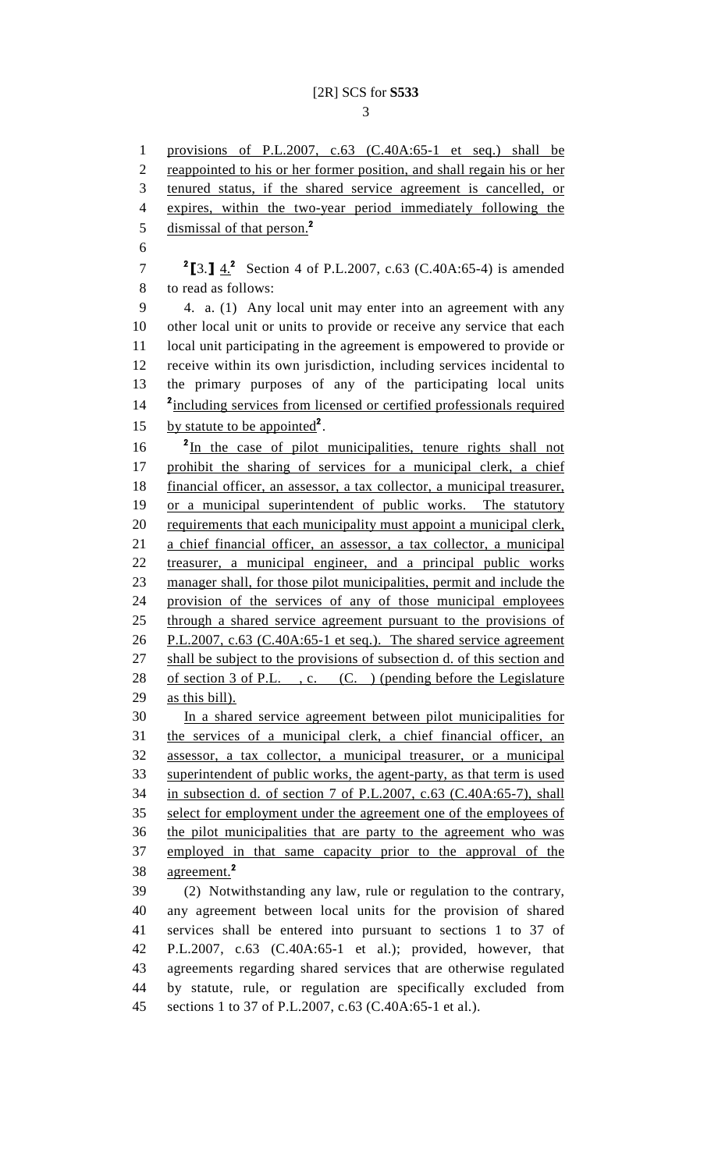1 provisions of P.L.2007, c.63 (C.40A:65-1 et seq.) shall be 2 reappointed to his or her former position, and shall regain his or her 3 tenured status, if the shared service agreement is cancelled, or 4 expires, within the two-year period immediately following the 5 dismissal of that person.<sup>2</sup> 6 **7**  ${}^{2}$ [3.]  $\frac{4.2}{4.2}$  Section 4 of P.L.2007, c.63 (C.40A:65-4) is amended 8 to read as follows: 9 4. a. (1) Any local unit may enter into an agreement with any 10 other local unit or units to provide or receive any service that each 11 local unit participating in the agreement is empowered to provide or 12 receive within its own jurisdiction, including services incidental to 13 the primary purposes of any of the participating local units <sup>2</sup> including services from licensed or certified professionals required 15 by statute to be appointed<sup>2</sup>.  $16$   $\frac{2 \text{In the case of pilot municipalities, tenure rights shall not}{}$ 17 prohibit the sharing of services for a municipal clerk, a chief 18 financial officer, an assessor, a tax collector, a municipal treasurer, 19 or a municipal superintendent of public works. The statutory 20 requirements that each municipality must appoint a municipal clerk, 21 a chief financial officer, an assessor, a tax collector, a municipal 22 treasurer, a municipal engineer, and a principal public works 23 manager shall, for those pilot municipalities, permit and include the 24 provision of the services of any of those municipal employees 25 through a shared service agreement pursuant to the provisions of 26 P.L.2007, c.63 (C.40A:65-1 et seq.). The shared service agreement 27 shall be subject to the provisions of subsection d. of this section and 28 of section 3 of P.L., c. (C.) (pending before the Legislature 29 as this bill). 30 In a shared service agreement between pilot municipalities for 31 the services of a municipal clerk, a chief financial officer, an 32 assessor, a tax collector, a municipal treasurer, or a municipal 33 superintendent of public works, the agent-party, as that term is used 34 in subsection d. of section 7 of P.L.2007, c.63 (C.40A:65-7), shall 35 select for employment under the agreement one of the employees of 36 the pilot municipalities that are party to the agreement who was 37 employed in that same capacity prior to the approval of the 38 agreement.<sup>2</sup> 39 (2) Notwithstanding any law, rule or regulation to the contrary, 40 any agreement between local units for the provision of shared 41 services shall be entered into pursuant to sections 1 to 37 of 42 P.L.2007, c.63 (C.40A:65-1 et al.); provided, however, that 43 agreements regarding shared services that are otherwise regulated 44 by statute, rule, or regulation are specifically excluded from 45 sections 1 to 37 of P.L.2007, c.63 (C.40A:65-1 et al.).

3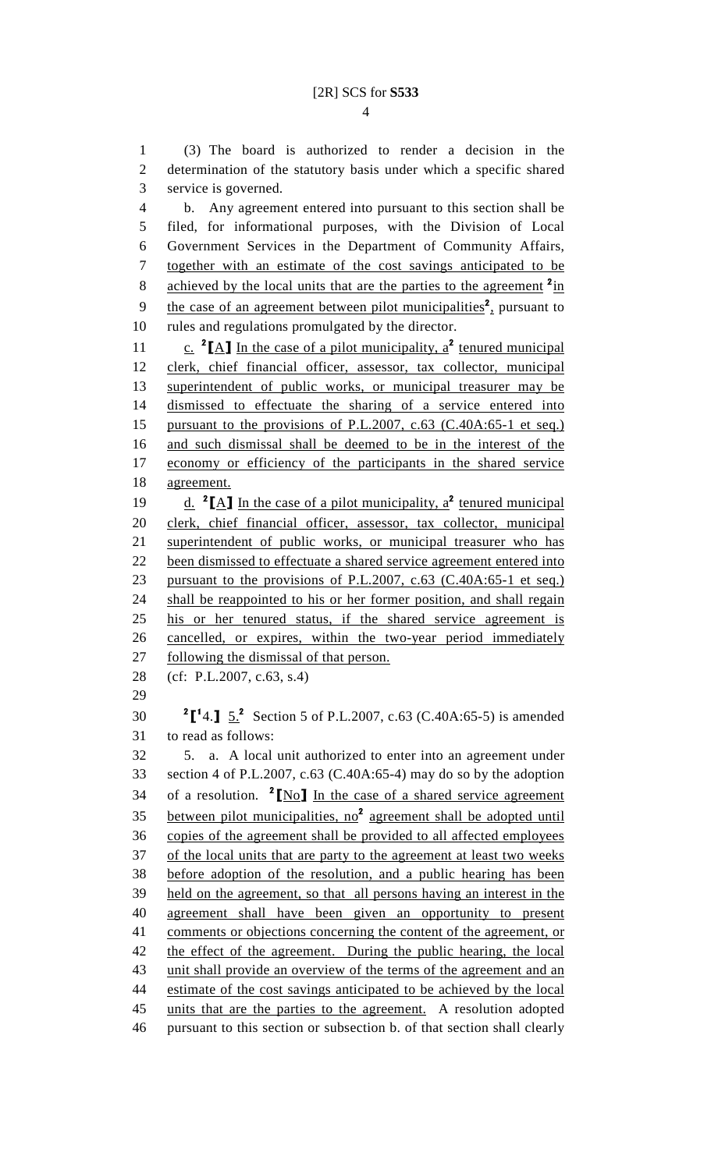1 (3) The board is authorized to render a decision in the 2 determination of the statutory basis under which a specific shared 3 service is governed. 4 b. Any agreement entered into pursuant to this section shall be 5 filed, for informational purposes, with the Division of Local 6 Government Services in the Department of Community Affairs, 7 together with an estimate of the cost savings anticipated to be 8 achieved by the local units that are the parties to the agreement <sup>2</sup>in 9 the case of an agreement between pilot municipalities<sup>2</sup>, pursuant to 10 rules and regulations promulgated by the director. 11  $\frac{c}{c}$   $^2$ [A] In the case of a pilot municipality,  $a^2$  tenured municipal 12 clerk, chief financial officer, assessor, tax collector, municipal 13 superintendent of public works, or municipal treasurer may be 14 dismissed to effectuate the sharing of a service entered into 15 pursuant to the provisions of P.L.2007, c.63 (C.40A:65-1 et seq.) 16 and such dismissal shall be deemed to be in the interest of the 17 economy or efficiency of the participants in the shared service 18 agreement. 19  $\frac{d}{dx}$  <sup>2</sup>[A] In the case of a pilot municipality,  $a^2$  tenured municipal 20 clerk, chief financial officer, assessor, tax collector, municipal 21 superintendent of public works, or municipal treasurer who has 22 been dismissed to effectuate a shared service agreement entered into 23 pursuant to the provisions of P.L.2007, c.63 (C.40A:65-1 et seq.) 24 shall be reappointed to his or her former position, and shall regain 25 his or her tenured status, if the shared service agreement is 26 cancelled, or expires, within the two-year period immediately 27 following the dismissal of that person. 28 (cf: P.L.2007, c.63, s.4) 29 30  ${}^{2}$ [<sup>1</sup>4.]  $\frac{5.2}{1}$  Section 5 of P.L.2007, c.63 (C.40A:65-5) is amended 31 to read as follows: 32 5. a. A local unit authorized to enter into an agreement under 33 section 4 of P.L.2007, c.63 (C.40A:65-4) may do so by the adoption 34 of a resolution.  $2 \times 100$  In the case of a shared service agreement  $35$  between pilot municipalities, no<sup>2</sup> agreement shall be adopted until 36 copies of the agreement shall be provided to all affected employees 37 of the local units that are party to the agreement at least two weeks 38 before adoption of the resolution, and a public hearing has been 39 held on the agreement, so that all persons having an interest in the 40 agreement shall have been given an opportunity to present 41 comments or objections concerning the content of the agreement, or 42 the effect of the agreement. During the public hearing, the local 43 unit shall provide an overview of the terms of the agreement and an 44 estimate of the cost savings anticipated to be achieved by the local 45 units that are the parties to the agreement. A resolution adopted

46 pursuant to this section or subsection b. of that section shall clearly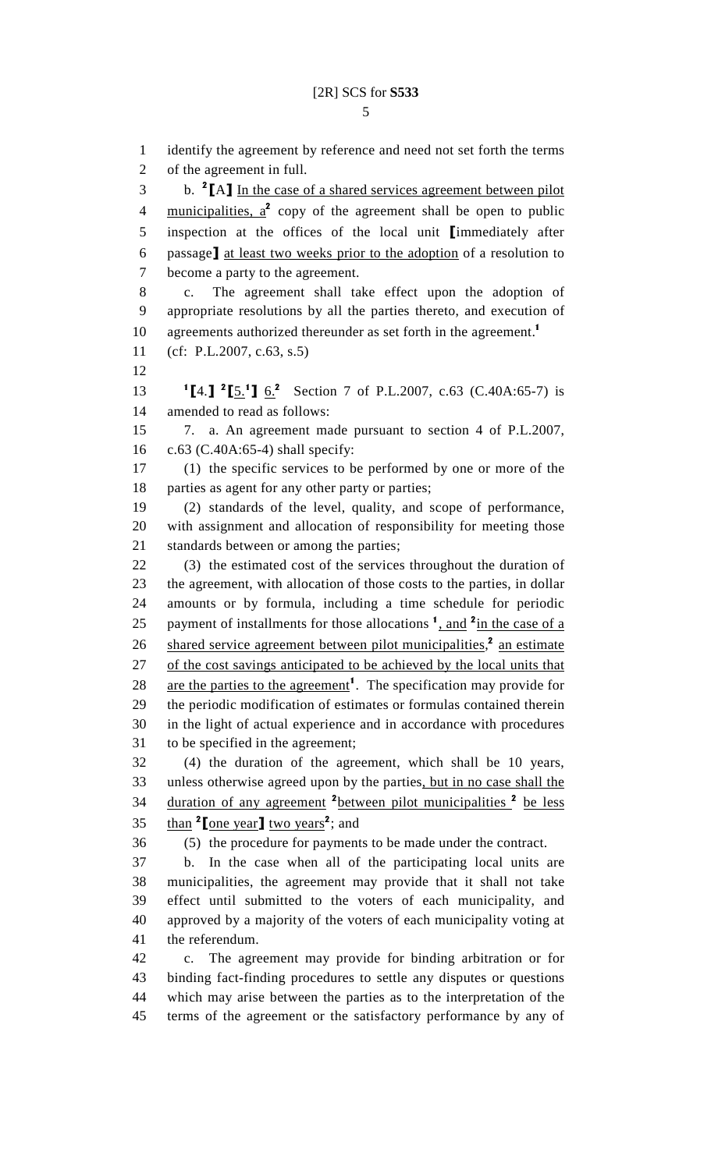1 identify the agreement by reference and need not set forth the terms 2 of the agreement in full. 3 b. <sup>2</sup>[A] In the case of a shared services agreement between pilot 4 municipalities,  $a^2$  copy of the agreement shall be open to public 5 inspection at the offices of the local unit [immediately after 6 passage] at least two weeks prior to the adoption of a resolution to 7 become a party to the agreement. 8 c. The agreement shall take effect upon the adoption of 9 appropriate resolutions by all the parties thereto, and execution of 10 agreements authorized thereunder as set forth in the agreement.<sup>1</sup> 11 (cf: P.L.2007, c.63, s.5) 12 13  ${}^{1}\text{[}4.\text{]}$   ${}^{2}\text{[}5.^{1}\text{]}$   ${}^{6.2}$  Section 7 of P.L.2007, c.63 (C.40A:65-7) is 14 amended to read as follows: 15 7. a. An agreement made pursuant to section 4 of P.L.2007, 16 c.63 (C.40A:65-4) shall specify: 17 (1) the specific services to be performed by one or more of the 18 parties as agent for any other party or parties; 19 (2) standards of the level, quality, and scope of performance, 20 with assignment and allocation of responsibility for meeting those 21 standards between or among the parties; 22 (3) the estimated cost of the services throughout the duration of 23 the agreement, with allocation of those costs to the parties, in dollar 24 amounts or by formula, including a time schedule for periodic 25 payment of installments for those allocations  $\frac{1}{1}$  and  $\frac{2 \text{ in the case of a}}{1}$ 26 shared service agreement between pilot municipalities,<sup>2</sup> an estimate 27 of the cost savings anticipated to be achieved by the local units that 28 are the parties to the agreement<sup>1</sup>. The specification may provide for 29 the periodic modification of estimates or formulas contained therein 30 in the light of actual experience and in accordance with procedures 31 to be specified in the agreement; 32 (4) the duration of the agreement, which shall be 10 years, 33 unless otherwise agreed upon by the parties, but in no case shall the 34 duration of any agreement <sup>2</sup>between pilot municipalities <sup>2</sup> be less 35 than <sup>2</sup> [one year] two years<sup>2</sup>; and 36 (5) the procedure for payments to be made under the contract. 37 b. In the case when all of the participating local units are 38 municipalities, the agreement may provide that it shall not take 39 effect until submitted to the voters of each municipality, and 40 approved by a majority of the voters of each municipality voting at 41 the referendum. 42 c. The agreement may provide for binding arbitration or for 43 binding fact-finding procedures to settle any disputes or questions 44 which may arise between the parties as to the interpretation of the 45 terms of the agreement or the satisfactory performance by any of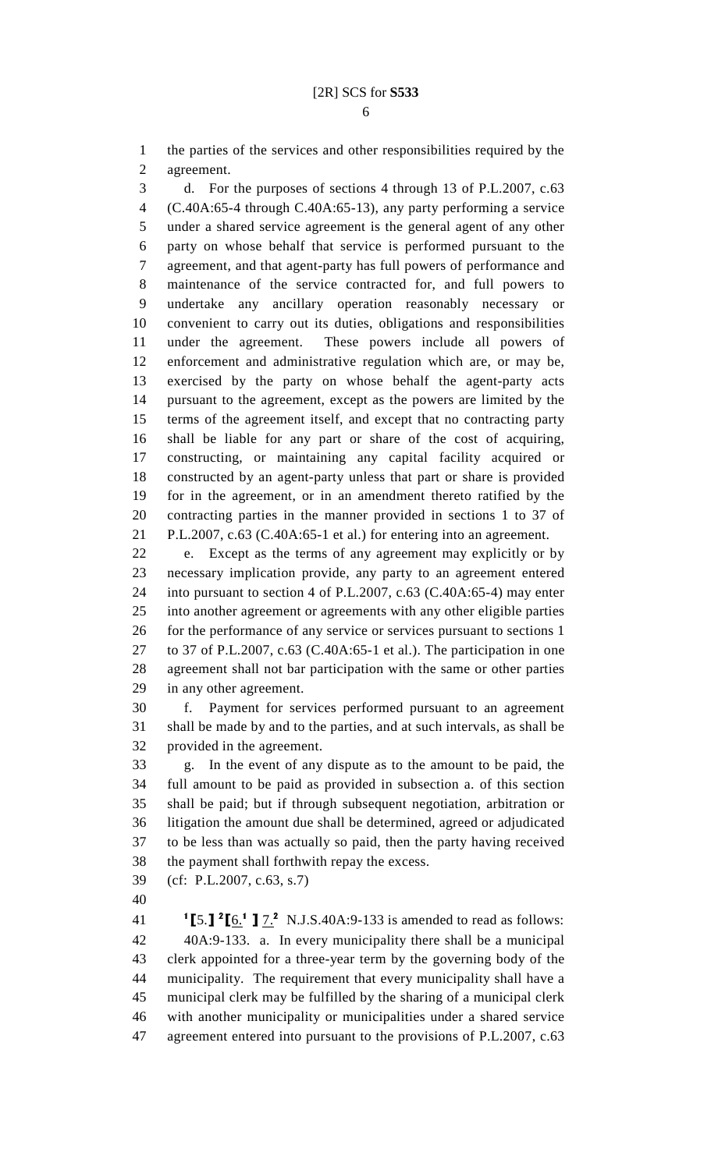6

1 the parties of the services and other responsibilities required by the 2 agreement.

3 d. For the purposes of sections 4 through 13 of P.L.2007, c.63 4 (C.40A:65-4 through C.40A:65-13), any party performing a service 5 under a shared service agreement is the general agent of any other 6 party on whose behalf that service is performed pursuant to the 7 agreement, and that agent-party has full powers of performance and 8 maintenance of the service contracted for, and full powers to 9 undertake any ancillary operation reasonably necessary or 10 convenient to carry out its duties, obligations and responsibilities 11 under the agreement. These powers include all powers of 12 enforcement and administrative regulation which are, or may be, 13 exercised by the party on whose behalf the agent-party acts 14 pursuant to the agreement, except as the powers are limited by the 15 terms of the agreement itself, and except that no contracting party 16 shall be liable for any part or share of the cost of acquiring, 17 constructing, or maintaining any capital facility acquired or 18 constructed by an agent-party unless that part or share is provided 19 for in the agreement, or in an amendment thereto ratified by the 20 contracting parties in the manner provided in sections 1 to 37 of 21 P.L.2007, c.63 (C.40A:65-1 et al.) for entering into an agreement.

22 e. Except as the terms of any agreement may explicitly or by 23 necessary implication provide, any party to an agreement entered 24 into pursuant to section 4 of P.L.2007, c.63 (C.40A:65-4) may enter 25 into another agreement or agreements with any other eligible parties 26 for the performance of any service or services pursuant to sections 1 27 to 37 of P.L.2007, c.63 (C.40A:65-1 et al.). The participation in one 28 agreement shall not bar participation with the same or other parties 29 in any other agreement.

30 f. Payment for services performed pursuant to an agreement 31 shall be made by and to the parties, and at such intervals, as shall be 32 provided in the agreement.

33 g. In the event of any dispute as to the amount to be paid, the 34 full amount to be paid as provided in subsection a. of this section 35 shall be paid; but if through subsequent negotiation, arbitration or 36 litigation the amount due shall be determined, agreed or adjudicated 37 to be less than was actually so paid, then the party having received 38 the payment shall forthwith repay the excess.

39 (cf: P.L.2007, c.63, s.7)

40

41 **[5.]**  ${}^{2}$  [6.<sup>1</sup> ]  ${}^{7}$ . N.J.S.40A:9-133 is amended to read as follows: 42 40A:9-133. a. In every municipality there shall be a municipal 43 clerk appointed for a three-year term by the governing body of the 44 municipality. The requirement that every municipality shall have a 45 municipal clerk may be fulfilled by the sharing of a municipal clerk 46 with another municipality or municipalities under a shared service 47 agreement entered into pursuant to the provisions of P.L.2007, c.63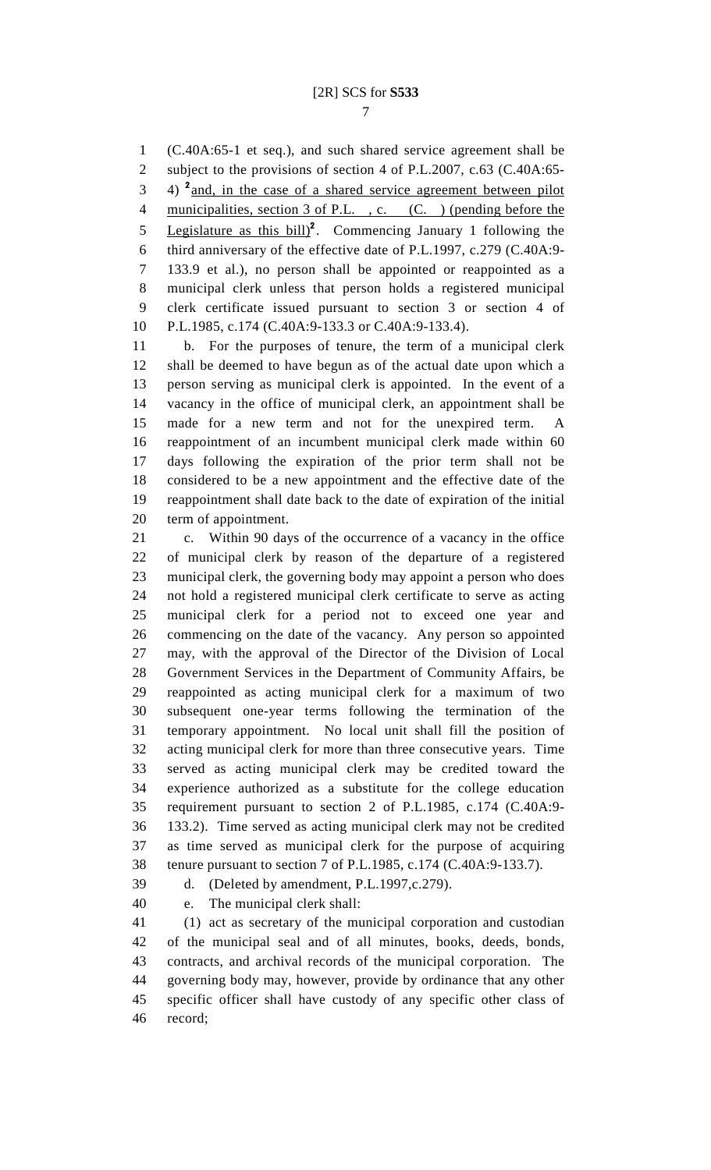1 (C.40A:65-1 et seq.), and such shared service agreement shall be 2 subject to the provisions of section 4 of P.L.2007, c.63 (C.40A:65-  $3$  4)  $^2$  and, in the case of a shared service agreement between pilot 4 municipalities, section 3 of P.L., c. (C.) (pending before the 5 Legislature as this bill)<sup>2</sup>. Commencing January 1 following the 6 third anniversary of the effective date of P.L.1997, c.279 (C.40A:9- 7 133.9 et al.), no person shall be appointed or reappointed as a 8 municipal clerk unless that person holds a registered municipal 9 clerk certificate issued pursuant to section 3 or section 4 of 10 P.L.1985, c.174 (C.40A:9-133.3 or C.40A:9-133.4).

11 b. For the purposes of tenure, the term of a municipal clerk 12 shall be deemed to have begun as of the actual date upon which a 13 person serving as municipal clerk is appointed. In the event of a 14 vacancy in the office of municipal clerk, an appointment shall be 15 made for a new term and not for the unexpired term. A 16 reappointment of an incumbent municipal clerk made within 60 17 days following the expiration of the prior term shall not be 18 considered to be a new appointment and the effective date of the 19 reappointment shall date back to the date of expiration of the initial 20 term of appointment.

21 c. Within 90 days of the occurrence of a vacancy in the office 22 of municipal clerk by reason of the departure of a registered 23 municipal clerk, the governing body may appoint a person who does 24 not hold a registered municipal clerk certificate to serve as acting 25 municipal clerk for a period not to exceed one year and 26 commencing on the date of the vacancy. Any person so appointed 27 may, with the approval of the Director of the Division of Local 28 Government Services in the Department of Community Affairs, be 29 reappointed as acting municipal clerk for a maximum of two 30 subsequent one-year terms following the termination of the 31 temporary appointment. No local unit shall fill the position of 32 acting municipal clerk for more than three consecutive years. Time 33 served as acting municipal clerk may be credited toward the 34 experience authorized as a substitute for the college education 35 requirement pursuant to section 2 of P.L.1985, c.174 (C.40A:9- 36 133.2). Time served as acting municipal clerk may not be credited 37 as time served as municipal clerk for the purpose of acquiring 38 tenure pursuant to section 7 of P.L.1985, c.174 (C.40A:9-133.7).

39 d. (Deleted by amendment, P.L.1997,c.279).

40 e. The municipal clerk shall:

41 (1) act as secretary of the municipal corporation and custodian 42 of the municipal seal and of all minutes, books, deeds, bonds, 43 contracts, and archival records of the municipal corporation. The 44 governing body may, however, provide by ordinance that any other 45 specific officer shall have custody of any specific other class of 46 record;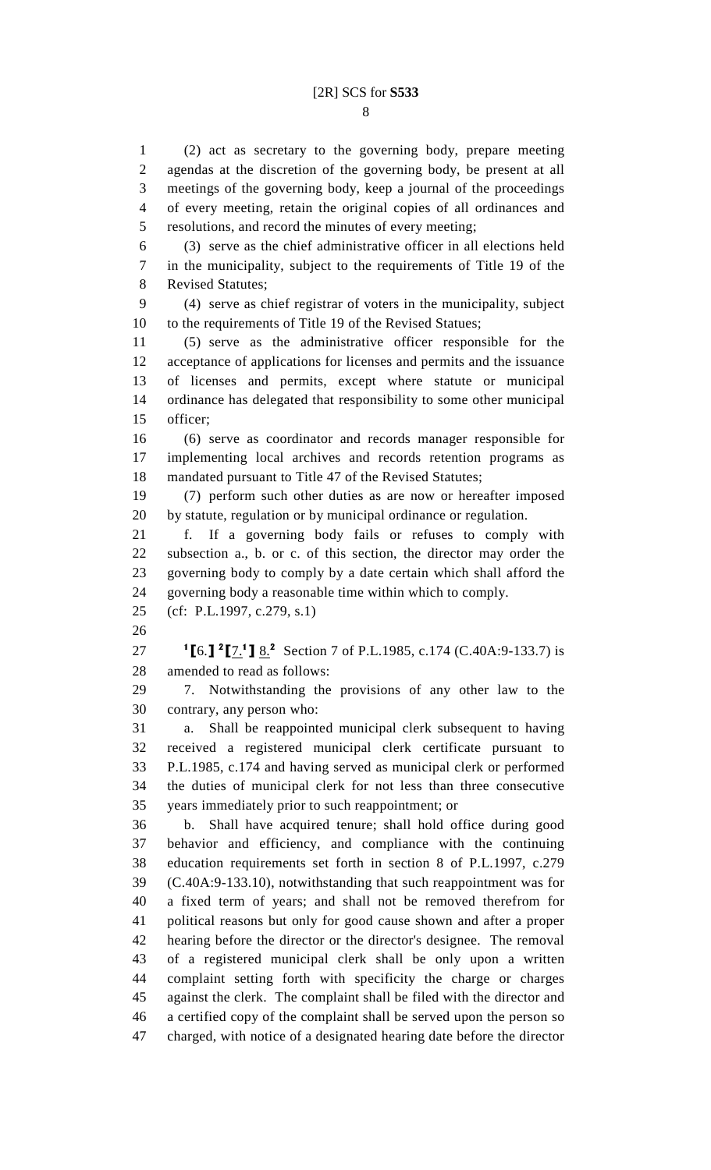8

1 (2) act as secretary to the governing body, prepare meeting 2 agendas at the discretion of the governing body, be present at all 3 meetings of the governing body, keep a journal of the proceedings 4 of every meeting, retain the original copies of all ordinances and 5 resolutions, and record the minutes of every meeting;

6 (3) serve as the chief administrative officer in all elections held 7 in the municipality, subject to the requirements of Title 19 of the 8 Revised Statutes;

9 (4) serve as chief registrar of voters in the municipality, subject 10 to the requirements of Title 19 of the Revised Statues;

11 (5) serve as the administrative officer responsible for the 12 acceptance of applications for licenses and permits and the issuance 13 of licenses and permits, except where statute or municipal 14 ordinance has delegated that responsibility to some other municipal 15 officer;

16 (6) serve as coordinator and records manager responsible for 17 implementing local archives and records retention programs as 18 mandated pursuant to Title 47 of the Revised Statutes;

19 (7) perform such other duties as are now or hereafter imposed 20 by statute, regulation or by municipal ordinance or regulation.

21 f. If a governing body fails or refuses to comply with 22 subsection a., b. or c. of this section, the director may order the 23 governing body to comply by a date certain which shall afford the 24 governing body a reasonable time within which to comply.

25 (cf: P.L.1997, c.279, s.1)

26

27 **I[6.]**  ${}^{2}$ [7.<sup>1</sup>] 8.<sup>2</sup> Section 7 of P.L.1985, c.174 (C.40A:9-133.7) is 28 amended to read as follows:

29 7. Notwithstanding the provisions of any other law to the 30 contrary, any person who:

31 a. Shall be reappointed municipal clerk subsequent to having 32 received a registered municipal clerk certificate pursuant to 33 P.L.1985, c.174 and having served as municipal clerk or performed 34 the duties of municipal clerk for not less than three consecutive 35 years immediately prior to such reappointment; or

36 b. Shall have acquired tenure; shall hold office during good 37 behavior and efficiency, and compliance with the continuing 38 education requirements set forth in section 8 of P.L.1997, c.279 39 (C.40A:9-133.10), notwithstanding that such reappointment was for 40 a fixed term of years; and shall not be removed therefrom for 41 political reasons but only for good cause shown and after a proper 42 hearing before the director or the director's designee. The removal 43 of a registered municipal clerk shall be only upon a written 44 complaint setting forth with specificity the charge or charges 45 against the clerk. The complaint shall be filed with the director and 46 a certified copy of the complaint shall be served upon the person so 47 charged, with notice of a designated hearing date before the director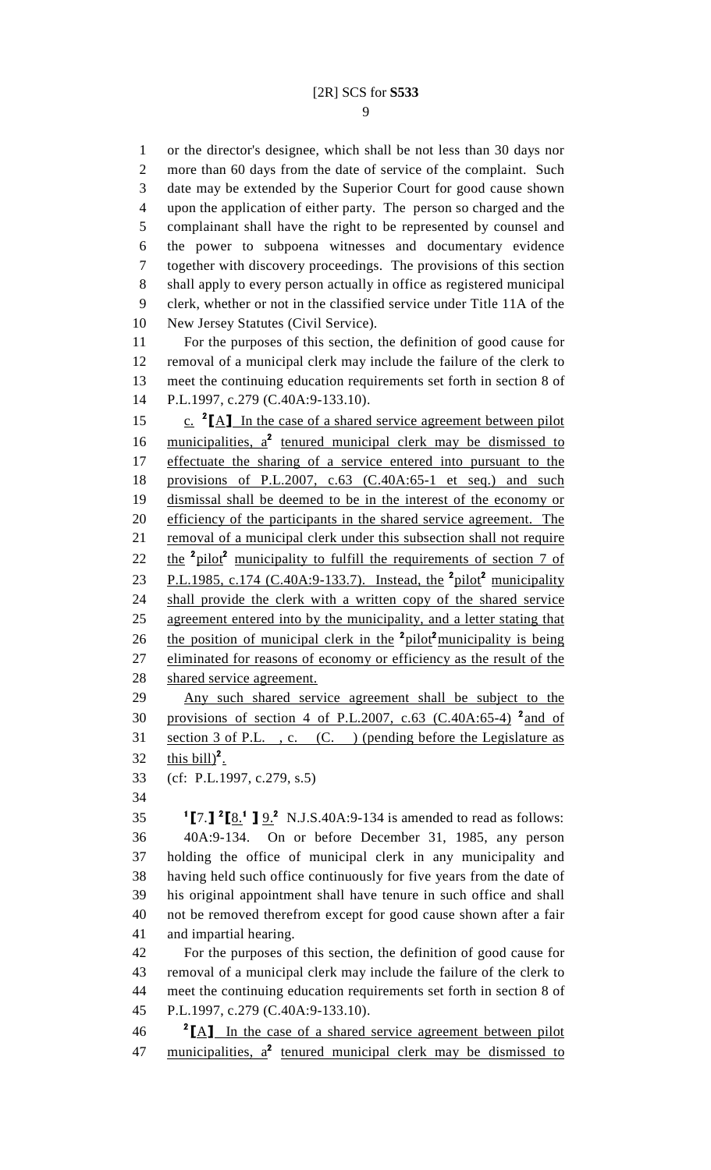1 or the director's designee, which shall be not less than 30 days nor 2 more than 60 days from the date of service of the complaint. Such 3 date may be extended by the Superior Court for good cause shown 4 upon the application of either party. The person so charged and the 5 complainant shall have the right to be represented by counsel and 6 the power to subpoena witnesses and documentary evidence 7 together with discovery proceedings. The provisions of this section 8 shall apply to every person actually in office as registered municipal 9 clerk, whether or not in the classified service under Title 11A of the 10 New Jersey Statutes (Civil Service).

11 For the purposes of this section, the definition of good cause for 12 removal of a municipal clerk may include the failure of the clerk to 13 meet the continuing education requirements set forth in section 8 of 14 P.L.1997, c.279 (C.40A:9-133.10).

15 **c.** <sup>2</sup>[A] In the case of a shared service agreement between pilot 16 municipalities,  $a^2$  tenured municipal clerk may be dismissed to 17 effectuate the sharing of a service entered into pursuant to the 18 provisions of P.L.2007, c.63 (C.40A:65-1 et seq.) and such 19 dismissal shall be deemed to be in the interest of the economy or 20 efficiency of the participants in the shared service agreement. The 21 removal of a municipal clerk under this subsection shall not require 22 the <sup>2</sup>pilot<sup>2</sup> municipality to fulfill the requirements of section 7 of 23 P.L.1985, c.174 (C.40A:9-133.7). Instead, the  $2^{2}$  pilot municipality 24 shall provide the clerk with a written copy of the shared service 25 agreement entered into by the municipality, and a letter stating that 26 the position of municipal clerk in the  $\frac{2 \text{ pilot}}{2 \text{ monitor}}$  municipality is being 27 eliminated for reasons of economy or efficiency as the result of the 28 shared service agreement. 29 Any such shared service agreement shall be subject to the

30 provisions of section 4 of P.L.2007, c.63 (C.40A:65-4)  $^2$  and of 31 section 3 of P.L. , c. (C. ) (pending before the Legislature as 32  $\frac{\text{this bill}^2}{\text{this bill}^2}$ .

33 (cf: P.L.1997, c.279, s.5)

34

35  $1$  [7.]  $2 \times 1$  ]  $9.2$  N.J.S.40A:9-134 is amended to read as follows: 36 40A:9-134. On or before December 31, 1985, any person 37 holding the office of municipal clerk in any municipality and 38 having held such office continuously for five years from the date of 39 his original appointment shall have tenure in such office and shall 40 not be removed therefrom except for good cause shown after a fair 41 and impartial hearing.

42 For the purposes of this section, the definition of good cause for 43 removal of a municipal clerk may include the failure of the clerk to 44 meet the continuing education requirements set forth in section 8 of 45 P.L.1997, c.279 (C.40A:9-133.10).

<sup>2</sup>  $\boxed{A}$  In the case of a shared service agreement between pilot 47 municipalities,  $a^2$  tenured municipal clerk may be dismissed to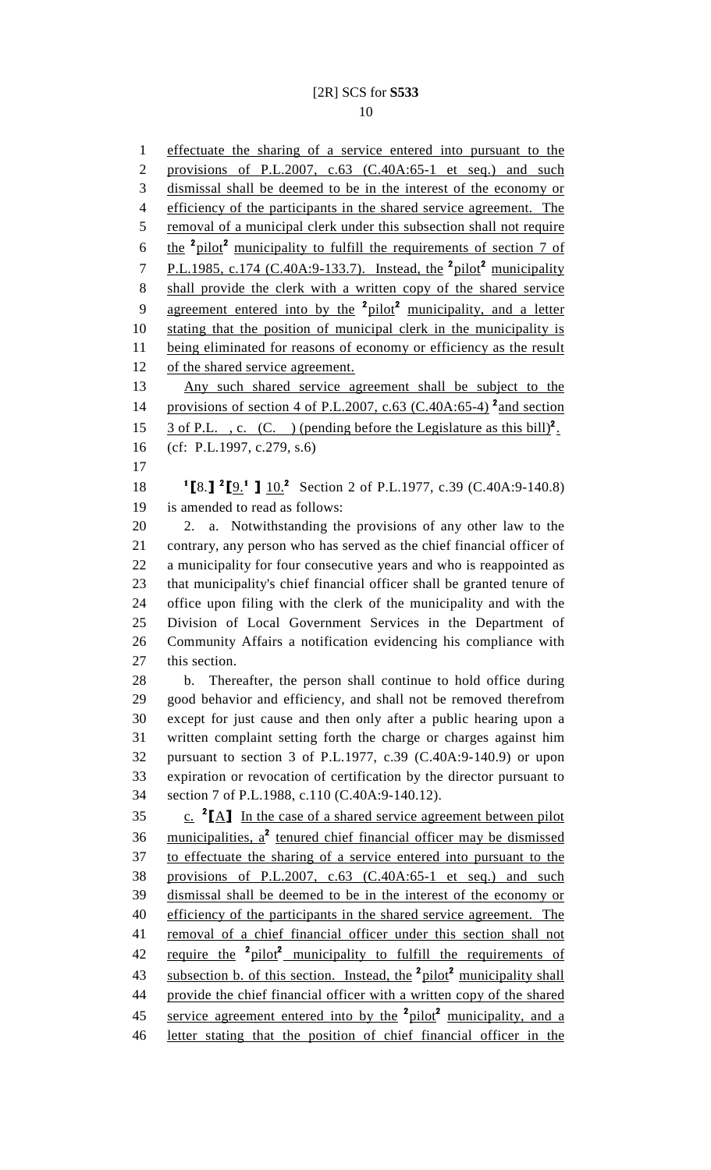1 effectuate the sharing of a service entered into pursuant to the 2 provisions of P.L.2007, c.63 (C.40A:65-1 et seq.) and such 3 dismissal shall be deemed to be in the interest of the economy or 4 efficiency of the participants in the shared service agreement. The 5 removal of a municipal clerk under this subsection shall not require 6 the  $\frac{2 \text{ pilot}}{n}$  municipality to fulfill the requirements of section 7 of 7 P.L.1985, c.174 (C.40A:9-133.7). Instead, the  $\frac{2 \text{ pilot}}{2}$  municipality 8 shall provide the clerk with a written copy of the shared service 9 agreement entered into by the <sup>2</sup>pilot<sup>2</sup> municipality, and a letter 10 stating that the position of municipal clerk in the municipality is 11 being eliminated for reasons of economy or efficiency as the result 12 of the shared service agreement. 13 Any such shared service agreement shall be subject to the 14 provisions of section 4 of P.L.2007, c.63 (C.40A:65-4)<sup>2</sup> and section 15 3 of P.L., c. (C.) (pending before the Legislature as this bill)<sup>2</sup>. 16 (cf: P.L.1997, c.279, s.6) 17 18  ${}^{12}$ [9.]  ${}^{2}$ [9.<sup>1</sup>]  $10.^{2}$  Section 2 of P.L.1977, c.39 (C.40A:9-140.8) 19 is amended to read as follows: 20 2. a. Notwithstanding the provisions of any other law to the 21 contrary, any person who has served as the chief financial officer of 22 a municipality for four consecutive years and who is reappointed as 23 that municipality's chief financial officer shall be granted tenure of 24 office upon filing with the clerk of the municipality and with the 25 Division of Local Government Services in the Department of 26 Community Affairs a notification evidencing his compliance with 27 this section. 28 b. Thereafter, the person shall continue to hold office during 29 good behavior and efficiency, and shall not be removed therefrom 30 except for just cause and then only after a public hearing upon a 31 written complaint setting forth the charge or charges against him 32 pursuant to section 3 of P.L.1977, c.39 (C.40A:9-140.9) or upon 33 expiration or revocation of certification by the director pursuant to 34 section 7 of P.L.1988, c.110 (C.40A:9-140.12). 35  $\frac{c}{c}$   ${}^{2}$ [A] In the case of a shared service agreement between pilot 36 municipalities,  $a^2$  tenured chief financial officer may be dismissed 37 to effectuate the sharing of a service entered into pursuant to the 38 provisions of P.L.2007, c.63 (C.40A:65-1 et seq.) and such 39 dismissal shall be deemed to be in the interest of the economy or 40 efficiency of the participants in the shared service agreement. The 41 removal of a chief financial officer under this section shall not 42 require the <sup>2</sup>pilot<sup>2</sup> municipality to fulfill the requirements of 43 subsection b. of this section. Instead, the  $\frac{2 \text{ pilot}}{2}$  municipality shall 44 provide the chief financial officer with a written copy of the shared 45 service agreement entered into by the <sup>2</sup>pilot<sup>2</sup> municipality, and a 46 letter stating that the position of chief financial officer in the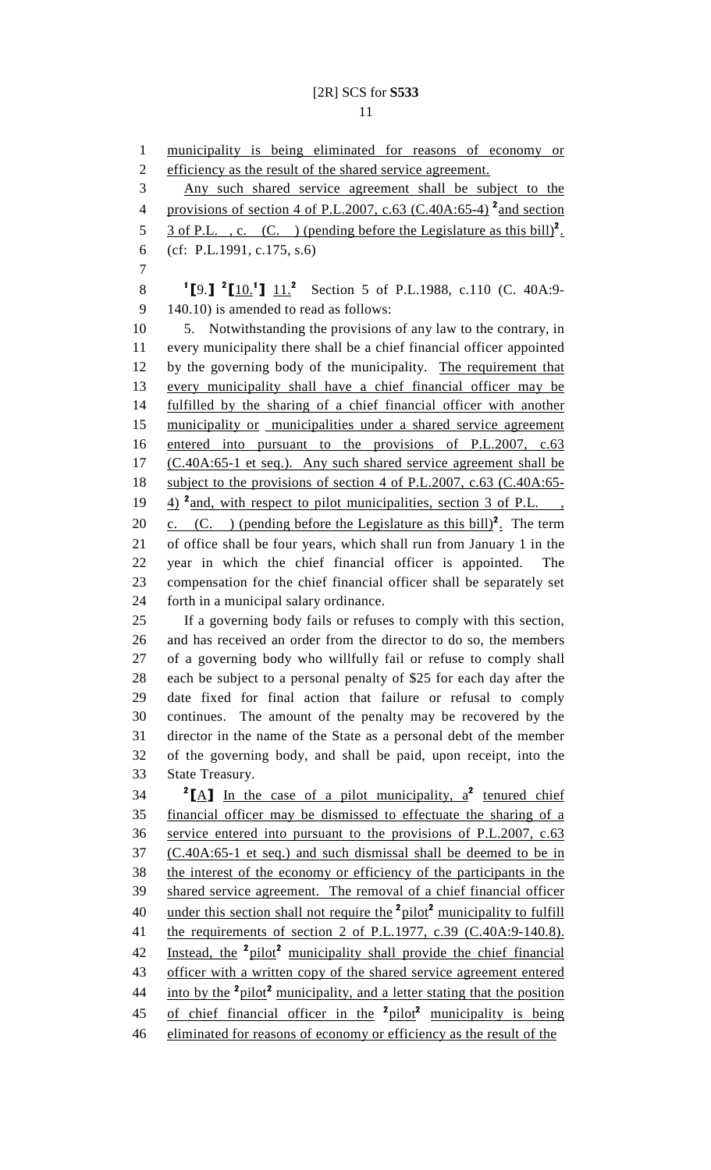1 municipality is being eliminated for reasons of economy or 2 efficiency as the result of the shared service agreement. 3 Any such shared service agreement shall be subject to the 4 provisions of section 4 of P.L.2007, c.63 (C.40A:65-4)<sup>2</sup> and section 5 3 of P.L., c. (C.) (pending before the Legislature as this bill)<sup>2</sup>. 6 (cf: P.L.1991, c.175, s.6) 7 8 <sup>1</sup>[9.] <sup>2</sup>[10.<sup>1</sup>]  $11.^2$  Section 5 of P.L.1988, c.110 (C. 40A:9-9 140.10) is amended to read as follows: 10 5. Notwithstanding the provisions of any law to the contrary, in 11 every municipality there shall be a chief financial officer appointed 12 by the governing body of the municipality. The requirement that 13 every municipality shall have a chief financial officer may be 14 fulfilled by the sharing of a chief financial officer with another 15 municipality or municipalities under a shared service agreement 16 entered into pursuant to the provisions of P.L.2007, c.63 17 (C.40A:65-1 et seq.). Any such shared service agreement shall be 18 subject to the provisions of section 4 of P.L.2007, c.63 (C.40A:65-19  $\frac{4}{2}$  and, with respect to pilot municipalities, section 3 of P.L., 20  $\text{c.}$  (C. ) (pending before the Legislature as this bill)<sup>2</sup>. The term 21 of office shall be four years, which shall run from January 1 in the 22 year in which the chief financial officer is appointed. The 23 compensation for the chief financial officer shall be separately set 24 forth in a municipal salary ordinance. 25 If a governing body fails or refuses to comply with this section, 26 and has received an order from the director to do so, the members 27 of a governing body who willfully fail or refuse to comply shall 28 each be subject to a personal penalty of \$25 for each day after the 29 date fixed for final action that failure or refusal to comply 30 continues. The amount of the penalty may be recovered by the 31 director in the name of the State as a personal debt of the member 32 of the governing body, and shall be paid, upon receipt, into the 33 State Treasury. 34  ${}^{2}$ [A] In the case of a pilot municipality, a<sup>2</sup> tenured chief 35 financial officer may be dismissed to effectuate the sharing of a 36 service entered into pursuant to the provisions of P.L.2007, c.63 37 (C.40A:65-1 et seq.) and such dismissal shall be deemed to be in 38 the interest of the economy or efficiency of the participants in the 39 shared service agreement. The removal of a chief financial officer 40 under this section shall not require the  $2$ pilot<sup>2</sup> municipality to fulfill 41 the requirements of section 2 of P.L.1977, c.39 (C.40A:9-140.8). 42 Instead, the <sup>2</sup>pilot<sup>2</sup> municipality shall provide the chief financial 43 officer with a written copy of the shared service agreement entered 44 into by the  $\frac{2 \text{ pilot}}{2}$  municipality, and a letter stating that the position 45 of chief financial officer in the  $2$ pilot<sup>2</sup> municipality is being 46 eliminated for reasons of economy or efficiency as the result of the

11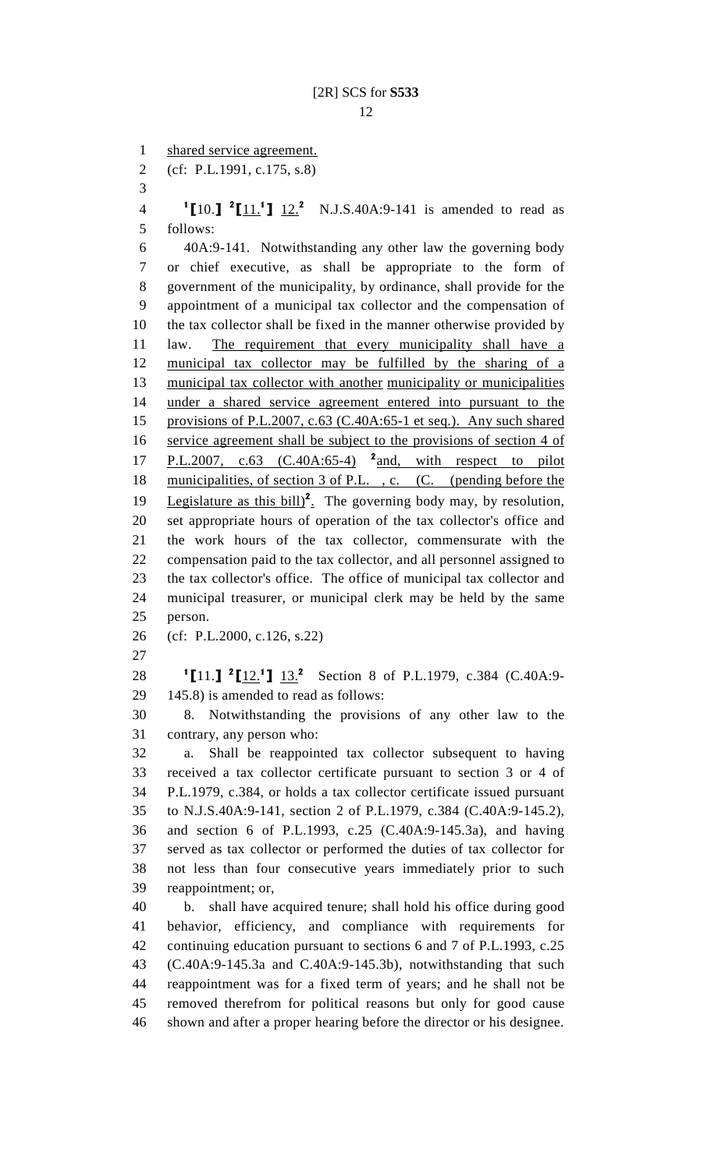1 shared service agreement.

2 (cf: P.L.1991, c.175, s.8)

3

4 **I[10.]** <sup>2</sup>[11.<sup>1</sup>]  $12.^2$  N.J.S.40A:9-141 is amended to read as 5 follows:

6 40A:9-141. Notwithstanding any other law the governing body 7 or chief executive, as shall be appropriate to the form of 8 government of the municipality, by ordinance, shall provide for the 9 appointment of a municipal tax collector and the compensation of 10 the tax collector shall be fixed in the manner otherwise provided by 11 law. The requirement that every municipality shall have a 12 municipal tax collector may be fulfilled by the sharing of a 13 municipal tax collector with another municipality or municipalities 14 under a shared service agreement entered into pursuant to the 15 provisions of P.L.2007, c.63 (C.40A:65-1 et seq.). Any such shared 16 service agreement shall be subject to the provisions of section 4 of 17 P.L.2007, c.63  $(C.40A:65-4)$  <sup>2</sup> and, with respect to pilot 18 municipalities, of section 3 of P.L., c. (C. (pending before the 19 Legislature as this  $\text{bill}^2$ . The governing body may, by resolution, 20 set appropriate hours of operation of the tax collector's office and 21 the work hours of the tax collector, commensurate with the 22 compensation paid to the tax collector, and all personnel assigned to 23 the tax collector's office. The office of municipal tax collector and 24 municipal treasurer, or municipal clerk may be held by the same 25 person.

26 (cf: P.L.2000, c.126, s.22)

27

28 <sup>1</sup>[11.] <sup>2</sup>[12.<sup>1</sup>] 13.<sup>2</sup> Section 8 of P.L.1979, c.384 (C.40A:9-29 145.8) is amended to read as follows:

30 8. Notwithstanding the provisions of any other law to the 31 contrary, any person who:

32 a. Shall be reappointed tax collector subsequent to having 33 received a tax collector certificate pursuant to section 3 or 4 of 34 P.L.1979, c.384, or holds a tax collector certificate issued pursuant 35 to N.J.S.40A:9-141, section 2 of P.L.1979, c.384 (C.40A:9-145.2), 36 and section 6 of P.L.1993, c.25 (C.40A:9-145.3a), and having 37 served as tax collector or performed the duties of tax collector for 38 not less than four consecutive years immediately prior to such 39 reappointment; or,

40 b. shall have acquired tenure; shall hold his office during good 41 behavior, efficiency, and compliance with requirements for 42 continuing education pursuant to sections 6 and 7 of P.L.1993, c.25 43 (C.40A:9-145.3a and C.40A:9-145.3b), notwithstanding that such 44 reappointment was for a fixed term of years; and he shall not be 45 removed therefrom for political reasons but only for good cause 46 shown and after a proper hearing before the director or his designee.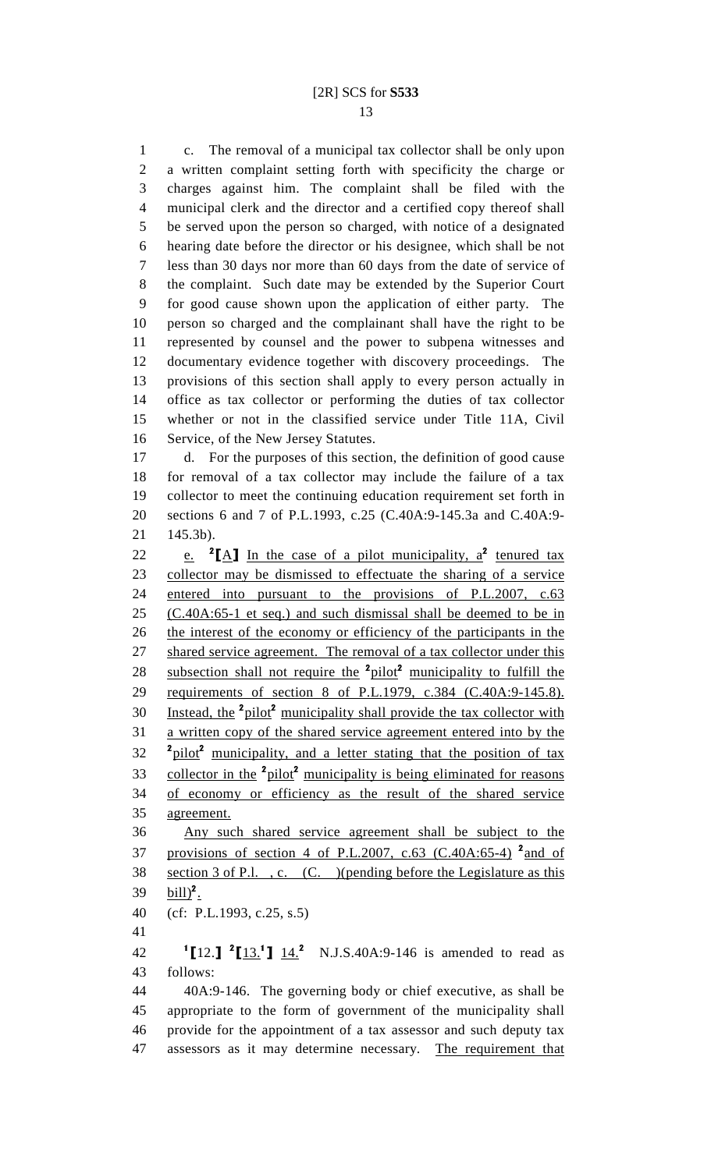1 c. The removal of a municipal tax collector shall be only upon 2 a written complaint setting forth with specificity the charge or 3 charges against him. The complaint shall be filed with the 4 municipal clerk and the director and a certified copy thereof shall 5 be served upon the person so charged, with notice of a designated 6 hearing date before the director or his designee, which shall be not 7 less than 30 days nor more than 60 days from the date of service of 8 the complaint. Such date may be extended by the Superior Court 9 for good cause shown upon the application of either party. The 10 person so charged and the complainant shall have the right to be 11 represented by counsel and the power to subpena witnesses and 12 documentary evidence together with discovery proceedings. The 13 provisions of this section shall apply to every person actually in 14 office as tax collector or performing the duties of tax collector 15 whether or not in the classified service under Title 11A, Civil 16 Service, of the New Jersey Statutes.

17 d. For the purposes of this section, the definition of good cause 18 for removal of a tax collector may include the failure of a tax 19 collector to meet the continuing education requirement set forth in 20 sections 6 and 7 of P.L.1993, c.25 (C.40A:9-145.3a and C.40A:9- 21 145.3b).

22 e. <sup>2</sup>[A] In the case of a pilot municipality,  $a^2$  tenured tax 23 collector may be dismissed to effectuate the sharing of a service 24 entered into pursuant to the provisions of P.L.2007, c.63 25 (C.40A:65-1 et seq.) and such dismissal shall be deemed to be in 26 the interest of the economy or efficiency of the participants in the 27 shared service agreement. The removal of a tax collector under this 28 subsection shall not require the  $2$ pilot<sup>2</sup> municipality to fulfill the 29 requirements of section 8 of P.L.1979, c.384 (C.40A:9-145.8). 30 Instead, the  $2$ pilot<sup>2</sup> municipality shall provide the tax collector with 31 a written copy of the shared service agreement entered into by the 32 <sup>2</sup> 2 <sup>2</sup> pilot<sup>2</sup> municipality, and a letter stating that the position of tax 33 collector in the <sup>2</sup>pilot<sup>2</sup> municipality is being eliminated for reasons 34 of economy or efficiency as the result of the shared service 35 agreement. 36 Any such shared service agreement shall be subject to the 37 provisions of section 4 of P.L.2007, c.63 (C.40A:65-4)<sup>2</sup> and of 38 section 3 of P.l. , c. (C. )(pending before the Legislature as this 39  $\text{bill}$ <sup>2</sup>.

40 (cf: P.L.1993, c.25, s.5)

41

42  $\text{I}[12.]\;\text{I}[13.1]\;\text{I}[4.2\;\text{N.J.S.40A:9-146 is amended to read as }$ 43 follows:

44 40A:9-146. The governing body or chief executive, as shall be 45 appropriate to the form of government of the municipality shall 46 provide for the appointment of a tax assessor and such deputy tax 47 assessors as it may determine necessary. The requirement that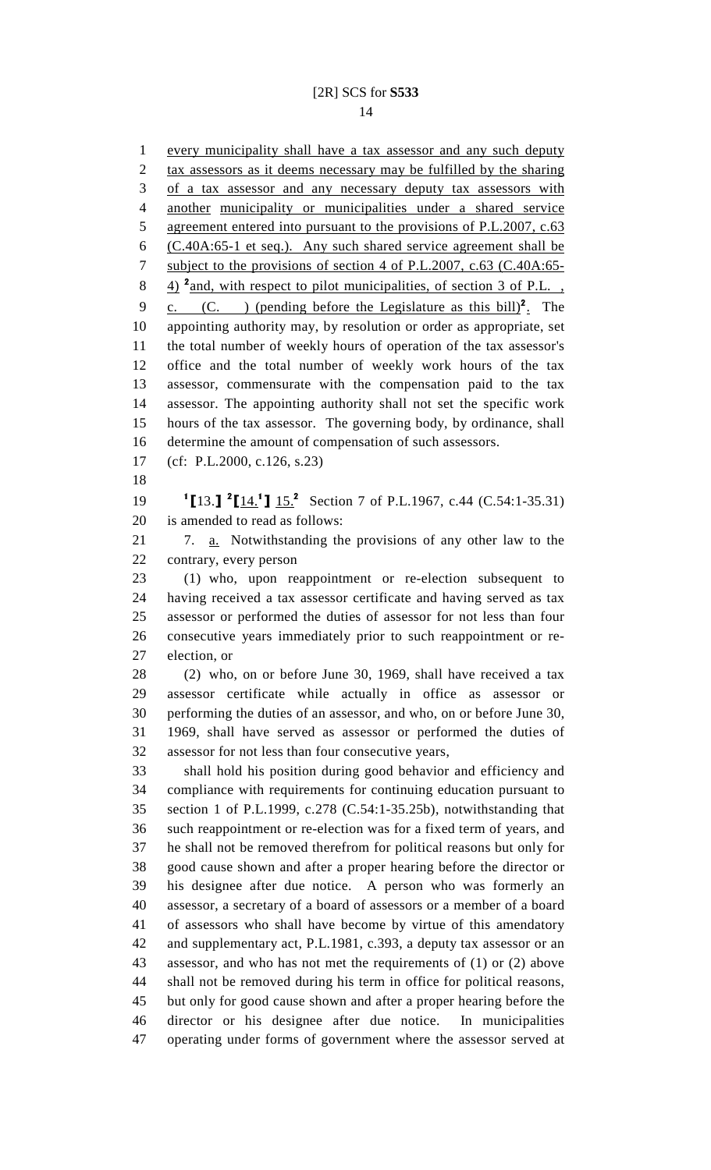1 every municipality shall have a tax assessor and any such deputy 2 tax assessors as it deems necessary may be fulfilled by the sharing 3 of a tax assessor and any necessary deputy tax assessors with 4 another municipality or municipalities under a shared service 5 agreement entered into pursuant to the provisions of P.L.2007, c.63 6 (C.40A:65-1 et seq.). Any such shared service agreement shall be 7 subject to the provisions of section 4 of P.L.2007, c.63 (C.40A:65- $\frac{4}{2}$  and, with respect to pilot municipalities, of section 3 of P.L., 9 c. (C. ) (pending before the Legislature as this bill)<sup>2</sup>. The 10 appointing authority may, by resolution or order as appropriate, set 11 the total number of weekly hours of operation of the tax assessor's 12 office and the total number of weekly work hours of the tax 13 assessor, commensurate with the compensation paid to the tax 14 assessor. The appointing authority shall not set the specific work 15 hours of the tax assessor. The governing body, by ordinance, shall 16 determine the amount of compensation of such assessors. 17 (cf: P.L.2000, c.126, s.23) 18 19  ${}^{1}\text{[}13.\text{]}$   ${}^{2}\text{[}14.^{1}\text{]}$   $15.^{2}$  Section 7 of P.L.1967, c.44 (C.54:1-35.31) 20 is amended to read as follows: 21 7. a. Notwithstanding the provisions of any other law to the 22 contrary, every person 23 (1) who, upon reappointment or re-election subsequent to 24 having received a tax assessor certificate and having served as tax 25 assessor or performed the duties of assessor for not less than four 26 consecutive years immediately prior to such reappointment or re-27 election, or 28 (2) who, on or before June 30, 1969, shall have received a tax 29 assessor certificate while actually in office as assessor or 30 performing the duties of an assessor, and who, on or before June 30, 31 1969, shall have served as assessor or performed the duties of 32 assessor for not less than four consecutive years, 33 shall hold his position during good behavior and efficiency and 34 compliance with requirements for continuing education pursuant to 35 section 1 of P.L.1999, c.278 (C.54:1-35.25b), notwithstanding that 36 such reappointment or re-election was for a fixed term of years, and 37 he shall not be removed therefrom for political reasons but only for 38 good cause shown and after a proper hearing before the director or 39 his designee after due notice. A person who was formerly an 40 assessor, a secretary of a board of assessors or a member of a board 41 of assessors who shall have become by virtue of this amendatory 42 and supplementary act, P.L.1981, c.393, a deputy tax assessor or an 43 assessor, and who has not met the requirements of (1) or (2) above 44 shall not be removed during his term in office for political reasons, 45 but only for good cause shown and after a proper hearing before the 46 director or his designee after due notice. In municipalities 47 operating under forms of government where the assessor served at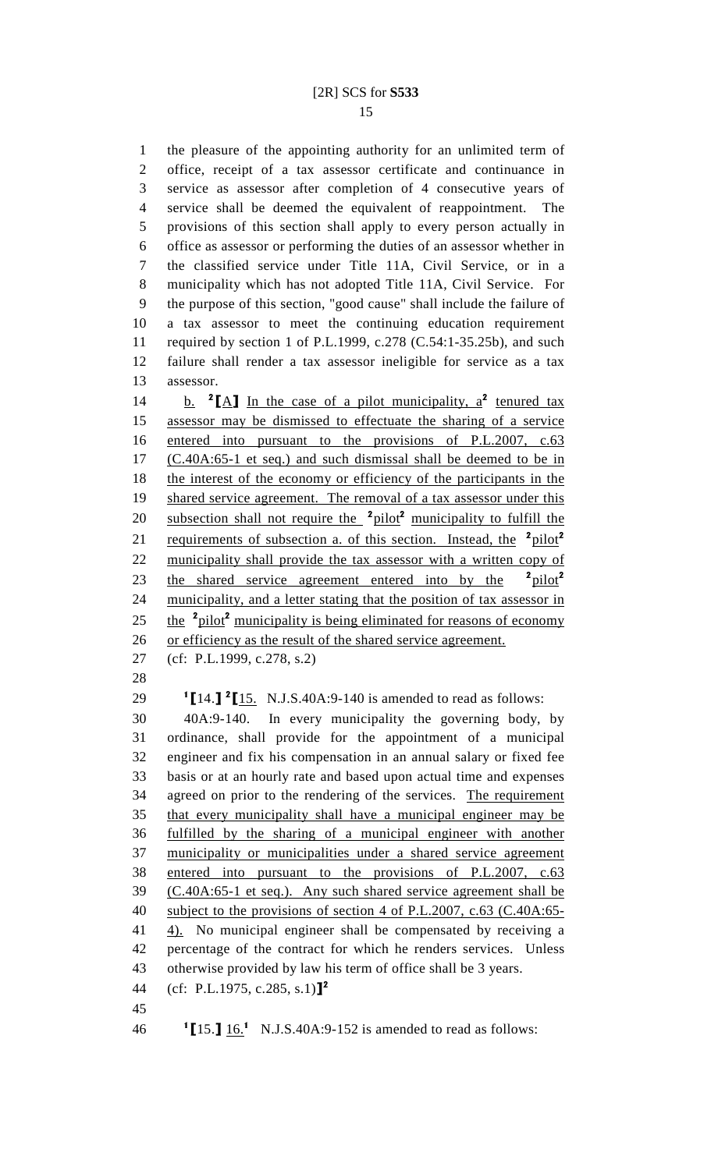1 the pleasure of the appointing authority for an unlimited term of 2 office, receipt of a tax assessor certificate and continuance in 3 service as assessor after completion of 4 consecutive years of 4 service shall be deemed the equivalent of reappointment. The 5 provisions of this section shall apply to every person actually in 6 office as assessor or performing the duties of an assessor whether in 7 the classified service under Title 11A, Civil Service, or in a 8 municipality which has not adopted Title 11A, Civil Service. For 9 the purpose of this section, "good cause" shall include the failure of 10 a tax assessor to meet the continuing education requirement 11 required by section 1 of P.L.1999, c.278 (C.54:1-35.25b), and such 12 failure shall render a tax assessor ineligible for service as a tax 13 assessor.

14 b.  ${}^{2}$ [A] In the case of a pilot municipality,  $a^{2}$  tenured tax 15 assessor may be dismissed to effectuate the sharing of a service 16 entered into pursuant to the provisions of P.L.2007, c.63 17 (C.40A:65-1 et seq.) and such dismissal shall be deemed to be in 18 the interest of the economy or efficiency of the participants in the 19 shared service agreement. The removal of a tax assessor under this 20 subsection shall not require the  $2pilot^2$  municipality to fulfill the 21 requirements of subsection a. of this section. Instead, the  $2pilot^2$ 22 municipality shall provide the tax assessor with a written copy of 23 the shared service agreement entered into by the  $2pilot^2$ 24 municipality, and a letter stating that the position of tax assessor in 25 the  $\frac{2 \text{ pilot}}{2}$  municipality is being eliminated for reasons of economy 26 or efficiency as the result of the shared service agreement.

- 27 (cf: P.L.1999, c.278, s.2)
- 28

29  $1$  [14.]  $2$  [15. N.J.S.40A:9-140 is amended to read as follows:

30 40A:9-140. In every municipality the governing body, by 31 ordinance, shall provide for the appointment of a municipal 32 engineer and fix his compensation in an annual salary or fixed fee 33 basis or at an hourly rate and based upon actual time and expenses 34 agreed on prior to the rendering of the services. The requirement 35 that every municipality shall have a municipal engineer may be 36 fulfilled by the sharing of a municipal engineer with another 37 municipality or municipalities under a shared service agreement 38 entered into pursuant to the provisions of P.L.2007, c.63 39 (C.40A:65-1 et seq.). Any such shared service agreement shall be 40 subject to the provisions of section 4 of P.L.2007, c.63 (C.40A:65- 41 4). No municipal engineer shall be compensated by receiving a 42 percentage of the contract for which he renders services. Unless 43 otherwise provided by law his term of office shall be 3 years. 44 (cf: P.L.1975, c.285, s.1)<sup>2</sup>

45

 $16 \quad 1$  [15.]  $16.1 \quad N.J.S.40A:9-152$  is amended to read as follows: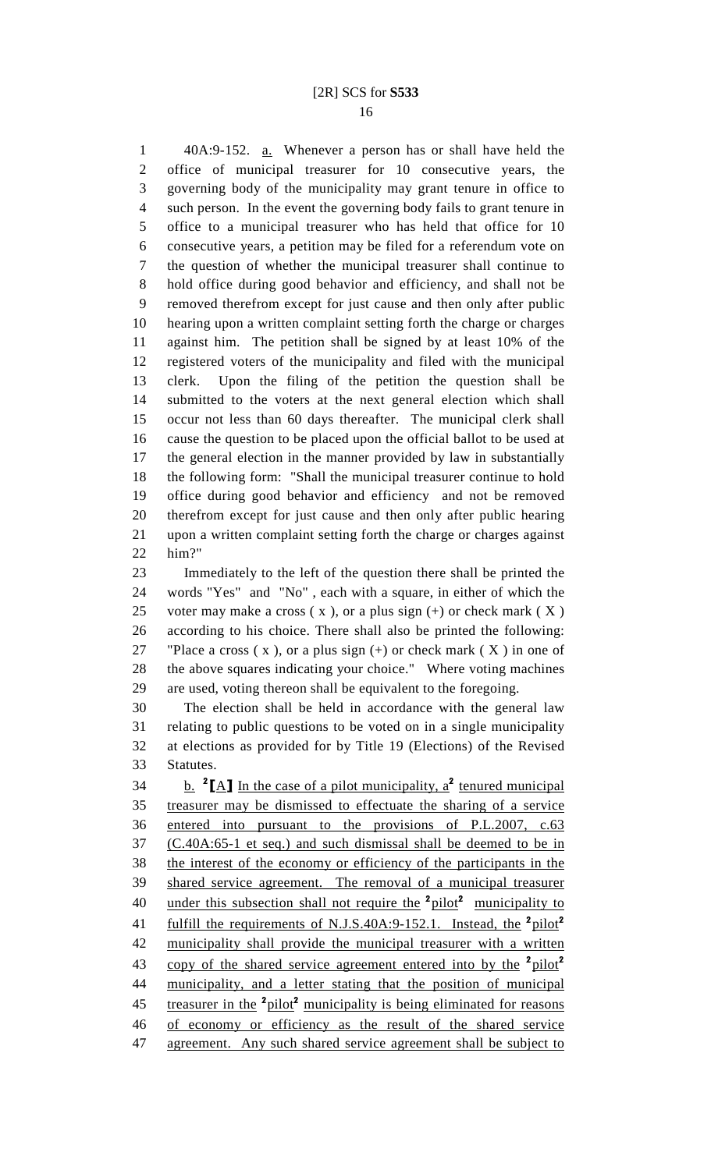1 40A:9-152. a. Whenever a person has or shall have held the 2 office of municipal treasurer for 10 consecutive years, the 3 governing body of the municipality may grant tenure in office to 4 such person. In the event the governing body fails to grant tenure in 5 office to a municipal treasurer who has held that office for 10 6 consecutive years, a petition may be filed for a referendum vote on 7 the question of whether the municipal treasurer shall continue to 8 hold office during good behavior and efficiency, and shall not be 9 removed therefrom except for just cause and then only after public 10 hearing upon a written complaint setting forth the charge or charges 11 against him. The petition shall be signed by at least 10% of the 12 registered voters of the municipality and filed with the municipal 13 clerk. Upon the filing of the petition the question shall be 14 submitted to the voters at the next general election which shall 15 occur not less than 60 days thereafter. The municipal clerk shall 16 cause the question to be placed upon the official ballot to be used at 17 the general election in the manner provided by law in substantially 18 the following form: "Shall the municipal treasurer continue to hold 19 office during good behavior and efficiency and not be removed 20 therefrom except for just cause and then only after public hearing 21 upon a written complaint setting forth the charge or charges against 22 him?"

23 Immediately to the left of the question there shall be printed the 24 words "Yes" and "No" , each with a square, in either of which the 25 voter may make a cross  $(x)$ , or a plus sign  $(+)$  or check mark  $(X)$ 26 according to his choice. There shall also be printed the following: 27 "Place a cross  $(x)$ , or a plus sign  $(+)$  or check mark  $(X)$  in one of 28 the above squares indicating your choice." Where voting machines 29 are used, voting thereon shall be equivalent to the foregoing.

30 The election shall be held in accordance with the general law 31 relating to public questions to be voted on in a single municipality 32 at elections as provided for by Title 19 (Elections) of the Revised 33 Statutes.

34 b.  ${}^{2}$ [A] In the case of a pilot municipality,  $a^{2}$  tenured municipal 35 treasurer may be dismissed to effectuate the sharing of a service 36 entered into pursuant to the provisions of P.L.2007, c.63 37 (C.40A:65-1 et seq.) and such dismissal shall be deemed to be in 38 the interest of the economy or efficiency of the participants in the 39 shared service agreement. The removal of a municipal treasurer 40 under this subsection shall not require the <sup>2</sup>pilot<sup>2</sup> municipality to 41 fulfill the requirements of N.J.S.40A:9-152.1. Instead, the  $\frac{2 \text{ pilot}}{2}$ 42 municipality shall provide the municipal treasurer with a written 43 copy of the shared service agreement entered into by the <sup>2</sup>pilot<sup>2</sup> 44 municipality, and a letter stating that the position of municipal 45 treasurer in the <sup>2</sup>pilot<sup>2</sup> municipality is being eliminated for reasons 46 of economy or efficiency as the result of the shared service 47 agreement. Any such shared service agreement shall be subject to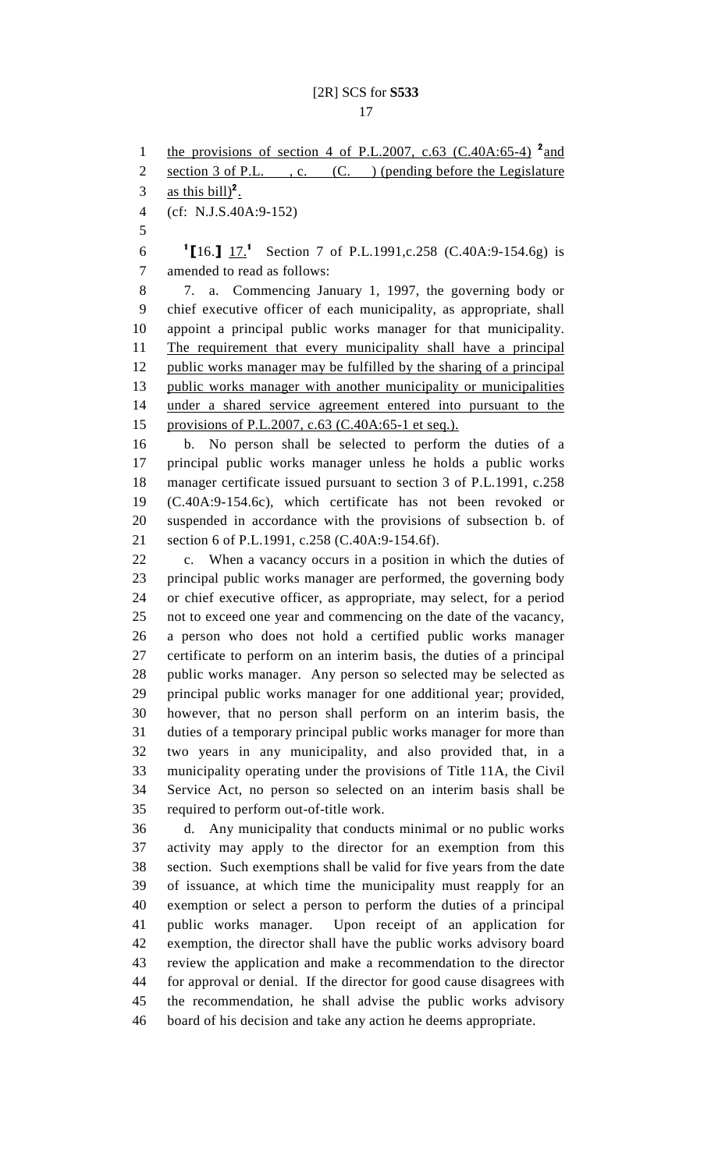1 the provisions of section 4 of P.L.2007, c.63 (C.40A:65-4)  $^2$  and 2 section 3 of P.L. , c. (C. ) (pending before the Legislature 3 as this bill)<sup>2</sup>. 4 (cf: N.J.S.40A:9-152) 5 6 <sup>1</sup>[16.]  $\frac{17.1}{2}$  Section 7 of P.L.1991,c.258 (C.40A:9-154.6g) is 7 amended to read as follows: 8 7. a. Commencing January 1, 1997, the governing body or 9 chief executive officer of each municipality, as appropriate, shall 10 appoint a principal public works manager for that municipality. 11 The requirement that every municipality shall have a principal 12 public works manager may be fulfilled by the sharing of a principal 13 public works manager with another municipality or municipalities 14 under a shared service agreement entered into pursuant to the 15 provisions of P.L.2007, c.63 (C.40A:65-1 et seq.). 16 b. No person shall be selected to perform the duties of a 17 principal public works manager unless he holds a public works 18 manager certificate issued pursuant to section 3 of P.L.1991, c.258 19 (C.40A:9-154.6c), which certificate has not been revoked or 20 suspended in accordance with the provisions of subsection b. of 21 section 6 of P.L.1991, c.258 (C.40A:9-154.6f). 22 c. When a vacancy occurs in a position in which the duties of 23 principal public works manager are performed, the governing body 24 or chief executive officer, as appropriate, may select, for a period 25 not to exceed one year and commencing on the date of the vacancy, 26 a person who does not hold a certified public works manager 27 certificate to perform on an interim basis, the duties of a principal 28 public works manager. Any person so selected may be selected as 29 principal public works manager for one additional year; provided, 30 however, that no person shall perform on an interim basis, the 31 duties of a temporary principal public works manager for more than 32 two years in any municipality, and also provided that, in a 33 municipality operating under the provisions of Title 11A, the Civil 34 Service Act, no person so selected on an interim basis shall be 35 required to perform out-of-title work. 36 d. Any municipality that conducts minimal or no public works 37 activity may apply to the director for an exemption from this 38 section. Such exemptions shall be valid for five years from the date 39 of issuance, at which time the municipality must reapply for an 40 exemption or select a person to perform the duties of a principal 41 public works manager. Upon receipt of an application for 42 exemption, the director shall have the public works advisory board 43 review the application and make a recommendation to the director 44 for approval or denial. If the director for good cause disagrees with 45 the recommendation, he shall advise the public works advisory 46 board of his decision and take any action he deems appropriate.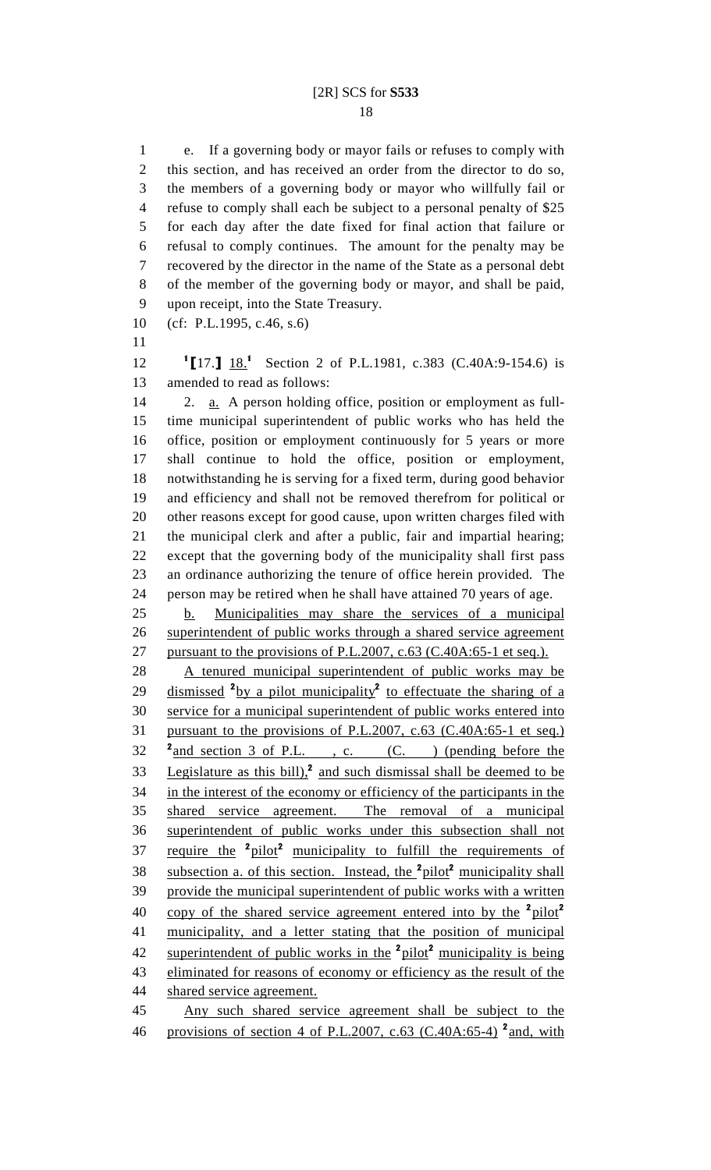1 e. If a governing body or mayor fails or refuses to comply with 2 this section, and has received an order from the director to do so, 3 the members of a governing body or mayor who willfully fail or 4 refuse to comply shall each be subject to a personal penalty of \$25 5 for each day after the date fixed for final action that failure or 6 refusal to comply continues. The amount for the penalty may be 7 recovered by the director in the name of the State as a personal debt 8 of the member of the governing body or mayor, and shall be paid, 9 upon receipt, into the State Treasury.

10 (cf: P.L.1995, c.46, s.6)

11

12 <sup>1</sup>[17.] 18<sup>1</sup> Section 2 of P.L.1981, c.383 (C.40A:9-154.6) is 13 amended to read as follows:

14 2. a. A person holding office, position or employment as full-15 time municipal superintendent of public works who has held the 16 office, position or employment continuously for 5 years or more 17 shall continue to hold the office, position or employment, 18 notwithstanding he is serving for a fixed term, during good behavior 19 and efficiency and shall not be removed therefrom for political or 20 other reasons except for good cause, upon written charges filed with 21 the municipal clerk and after a public, fair and impartial hearing; 22 except that the governing body of the municipality shall first pass 23 an ordinance authorizing the tenure of office herein provided. The 24 person may be retired when he shall have attained 70 years of age.

25 b. Municipalities may share the services of a municipal 26 superintendent of public works through a shared service agreement 27 pursuant to the provisions of P.L.2007, c.63 (C.40A:65-1 et seq.).

28 A tenured municipal superintendent of public works may be 29 dismissed <sup>2</sup>by a pilot municipality<sup>2</sup> to effectuate the sharing of a 30 service for a municipal superintendent of public works entered into 31 pursuant to the provisions of P.L.2007, c.63 (C.40A:65-1 et seq.)  $32 \frac{\text{2}}{\text{and section 3 of P.L.}}$ , c. (C. ) (pending before the 33 Legislature as this bill), $\lambda^2$  and such dismissal shall be deemed to be 34 in the interest of the economy or efficiency of the participants in the 35 shared service agreement. The removal of a municipal 36 superintendent of public works under this subsection shall not 37 require the <sup>2</sup>pilot<sup>2</sup> municipality to fulfill the requirements of 38 subsection a. of this section. Instead, the <sup>2</sup>pilot<sup>2</sup> municipality shall 39 provide the municipal superintendent of public works with a written 40 copy of the shared service agreement entered into by the  $\frac{2 \text{ pilot}}{2}$ 41 municipality, and a letter stating that the position of municipal 42 superintendent of public works in the <sup>2</sup>pilot<sup>2</sup> municipality is being 43 eliminated for reasons of economy or efficiency as the result of the 44 shared service agreement. 45 Any such shared service agreement shall be subject to the

46 provisions of section 4 of P.L.2007, c.63 (C.40A:65-4)<sup>2</sup> and, with